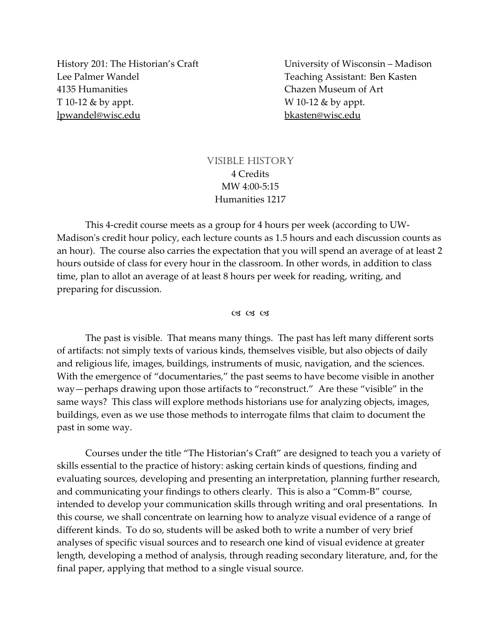Lee Palmer Wandel Teaching Assistant: Ben Kasten 4135 Humanities Chazen Museum of Art T 10‐12 & by appt. W 10‐12 & by appt. lpwandel@wisc.edu bkasten@wisc.edu

History 201: The Historian's Craft University of Wisconsin – Madison

# VISIBLE HISTORY 4 Credits MW 4:00‐5:15 Humanities 1217

This 4‐credit course meets as a group for 4 hours per week (according to UW‐ Madison's credit hour policy, each lecture counts as 1.5 hours and each discussion counts as an hour). The course also carries the expectation that you will spend an average of at least 2 hours outside of class for every hour in the classroom. In other words, in addition to class time, plan to allot an average of at least 8 hours per week for reading, writing, and preparing for discussion.

#### $C3C3C3$

The past is visible. That means many things. The past has left many different sorts of artifacts: not simply texts of various kinds, themselves visible, but also objects of daily and religious life, images, buildings, instruments of music, navigation, and the sciences. With the emergence of "documentaries," the past seems to have become visible in another way—perhaps drawing upon those artifacts to "reconstruct." Are these "visible" in the same ways? This class will explore methods historians use for analyzing objects, images, buildings, even as we use those methods to interrogate films that claim to document the past in some way.

Courses under the title "The Historian's Craft" are designed to teach you a variety of skills essential to the practice of history: asking certain kinds of questions, finding and evaluating sources, developing and presenting an interpretation, planning further research, and communicating your findings to others clearly. This is also a "Comm‐B" course, intended to develop your communication skills through writing and oral presentations. In this course, we shall concentrate on learning how to analyze visual evidence of a range of different kinds. To do so, students will be asked both to write a number of very brief analyses of specific visual sources and to research one kind of visual evidence at greater length, developing a method of analysis, through reading secondary literature, and, for the final paper, applying that method to a single visual source.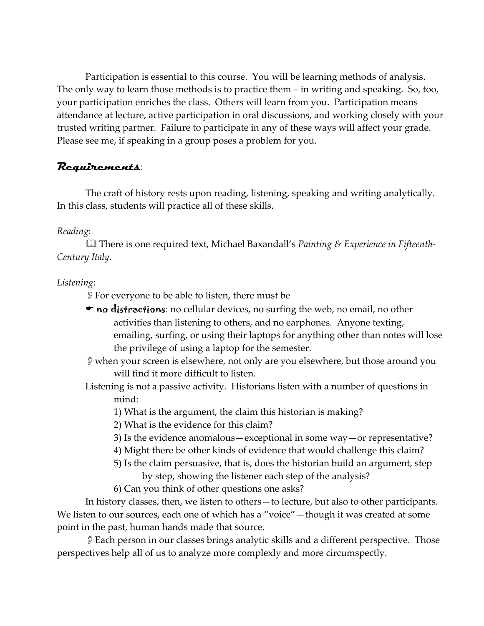Participation is essential to this course. You will be learning methods of analysis. The only way to learn those methods is to practice them – in writing and speaking. So, too, your participation enriches the class. Others will learn from you. Participation means attendance at lecture, active participation in oral discussions, and working closely with your trusted writing partner. Failure to participate in any of these ways will affect your grade. Please see me, if speaking in a group poses a problem for you.

# **Requirements**:

The craft of history rests upon reading, listening, speaking and writing analytically. In this class, students will practice all of these skills.

# *Reading*:

 There is one required text, Michael Baxandall's *Painting & Experience in Fifteenth‐ Century Italy*.

# *Listening*:

For everyone to be able to listen, there must be

- $\bullet$  no distractions: no cellular devices, no surfing the web, no email, no other activities than listening to others, and no earphones. Anyone texting, emailing, surfing, or using their laptops for anything other than notes will lose the privilege of using a laptop for the semester.
- when your screen is elsewhere, not only are you elsewhere, but those around you will find it more difficult to listen.
- Listening is not a passive activity. Historians listen with a number of questions in mind:
	- 1) What is the argument, the claim this historian is making?
	- 2) What is the evidence for this claim?
	- 3) Is the evidence anomalous—exceptional in some way—or representative?
	- 4) Might there be other kinds of evidence that would challenge this claim?
	- 5) Is the claim persuasive, that is, does the historian build an argument, step by step, showing the listener each step of the analysis?
	- 6) Can you think of other questions one asks?

In history classes, then, we listen to others—to lecture, but also to other participants. We listen to our sources, each one of which has a "voice"—though it was created at some point in the past, human hands made that source.

Each person in our classes brings analytic skills and a different perspective. Those perspectives help all of us to analyze more complexly and more circumspectly.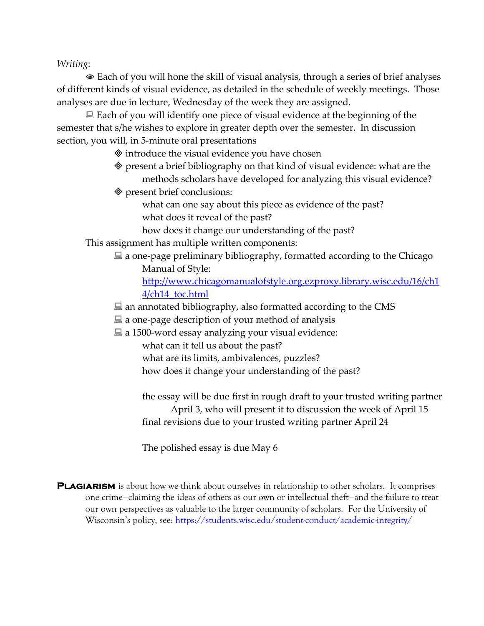*Writing*:

 Each of you will hone the skill of visual analysis, through a series of brief analyses of different kinds of visual evidence, as detailed in the schedule of weekly meetings. Those analyses are due in lecture, Wednesday of the week they are assigned.

 $\Box$  Each of you will identify one piece of visual evidence at the beginning of the semester that s/he wishes to explore in greater depth over the semester. In discussion section, you will, in 5-minute oral presentations

 $\Diamond$  introduce the visual evidence you have chosen

- present a brief bibliography on that kind of visual evidence: what are the methods scholars have developed for analyzing this visual evidence?
- present brief conclusions:

what can one say about this piece as evidence of the past? what does it reveal of the past?

how does it change our understanding of the past?

This assignment has multiple written components:

 $\blacksquare$  a one-page preliminary bibliography, formatted according to the Chicago Manual of Style:

http://www.chicagomanualofstyle.org.ezproxy.library.wisc.edu/16/ch1 4/ch14\_toc.html

- $\blacksquare$  an annotated bibliography, also formatted according to the CMS
- $\Box$  a one-page description of your method of analysis
- $\Box$  a 1500-word essay analyzing your visual evidence:

what can it tell us about the past?

what are its limits, ambivalences, puzzles?

how does it change your understanding of the past?

the essay will be due first in rough draft to your trusted writing partner April 3, who will present it to discussion the week of April 15 final revisions due to your trusted writing partner April 24

The polished essay is due May 6

**PLAGIARISM** is about how we think about ourselves in relationship to other scholars. It comprises one crime—claiming the ideas of others as our own or intellectual theft—and the failure to treat our own perspectives as valuable to the larger community of scholars. For the University of Wisconsin's policy, see: https://students.wisc.edu/student-conduct/academic-integrity/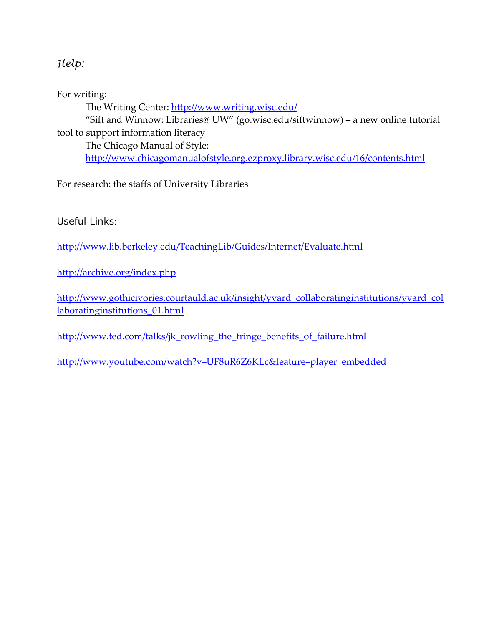# *Help:*

For writing:

The Writing Center: http://www.writing.wisc.edu/

"Sift and Winnow: Libraries@ UW" (go.wisc.edu/siftwinnow) – a new online tutorial tool to support information literacy

The Chicago Manual of Style: http://www.chicagomanualofstyle.org.ezproxy.library.wisc.edu/16/contents.html

For research: the staffs of University Libraries

Useful Links:

http://www.lib.berkeley.edu/TeachingLib/Guides/Internet/Evaluate.html

http://archive.org/index.php

http://www.gothicivories.courtauld.ac.uk/insight/yvard\_collaboratinginstitutions/yvard\_col laboratinginstitutions\_01.html

http://www.ted.com/talks/jk\_rowling\_the\_fringe\_benefits\_of\_failure.html

http://www.youtube.com/watch?v=UF8uR6Z6KLc&feature=player\_embedded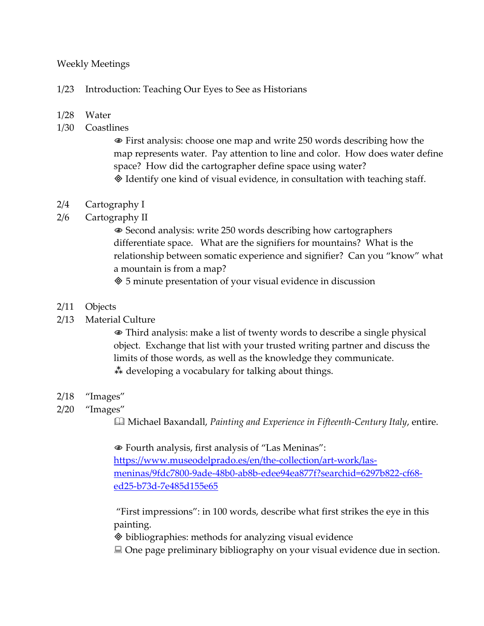### Weekly Meetings

#### 1/23 Introduction: Teaching Our Eyes to See as Historians

#### 1/28 Water

1/30 Coastlines

 First analysis: choose one map and write 250 words describing how the map represents water. Pay attention to line and color. How does water define space? How did the cartographer define space using water? Identify one kind of visual evidence, in consultation with teaching staff.

#### 2/4 Cartography I

2/6 Cartography II

 Second analysis: write 250 words describing how cartographers differentiate space. What are the signifiers for mountains? What is the relationship between somatic experience and signifier? Can you "know" what a mountain is from a map?

5 minute presentation of your visual evidence in discussion

#### 2/11 Objects

2/13 Material Culture

 Third analysis: make a list of twenty words to describe a single physical object. Exchange that list with your trusted writing partner and discuss the limits of those words, as well as the knowledge they communicate. developing a vocabulary for talking about things.

#### 2/18 "Images"

2/20 "Images"

Michael Baxandall, *Painting and Experience in Fifteenth‐Century Italy*, entire.

 Fourth analysis, first analysis of "Las Meninas": https://www.museodelprado.es/en/the-collection/art-work/lasmeninas/9fdc7800‐9ade‐48b0‐ab8b‐edee94ea877f?searchid=6297b822‐cf68‐ ed25‐b73d‐7e485d155e65

"First impressions": in 100 words, describe what first strikes the eye in this painting.

bibliographies: methods for analyzing visual evidence

■ One page preliminary bibliography on your visual evidence due in section.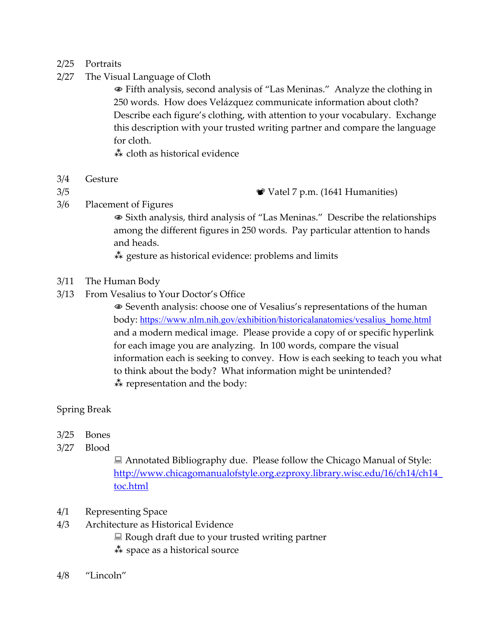#### 2/25 Portraits

2/27 The Visual Language of Cloth

 Fifth analysis, second analysis of "Las Meninas." Analyze the clothing in 250 words. How does Velázquez communicate information about cloth? Describe each figure's clothing, with attention to your vocabulary. Exchange this description with your trusted writing partner and compare the language for cloth.

cloth as historical evidence

- 3/4 Gesture
- 

3/5 Vatel 7 p.m. (1641 Humanities)

3/6 Placement of Figures

 Sixth analysis, third analysis of "Las Meninas." Describe the relationships among the different figures in 250 words. Pay particular attention to hands and heads.

 $\stackrel{*}{\ast}$  gesture as historical evidence: problems and limits

- 3/11 The Human Body
- 3/13 From Vesalius to Your Doctor's Office

 Seventh analysis: choose one of Vesalius's representations of the human body: https://www.nlm.nih.gov/exhibition/historicalanatomies/vesalius\_home.html and a modern medical image. Please provide a copy of or specific hyperlink for each image you are analyzing. In 100 words, compare the visual information each is seeking to convey. How is each seeking to teach you what to think about the body? What information might be unintended?  $\stackrel{*}{\ast}$  representation and the body:

## Spring Break

- 3/25 Bones
- 3/27 Blood

■ Annotated Bibliography due. Please follow the Chicago Manual of Style: http://www.chicagomanualofstyle.org.ezproxy.library.wisc.edu/16/ch14/ch14\_ toc.html

- 4/1 Representing Space
- 4/3 Architecture as Historical Evidence
	- $\Box$  Rough draft due to your trusted writing partner
	- $\stackrel{*}{\ast}$  space as a historical source
- 4/8 "Lincoln"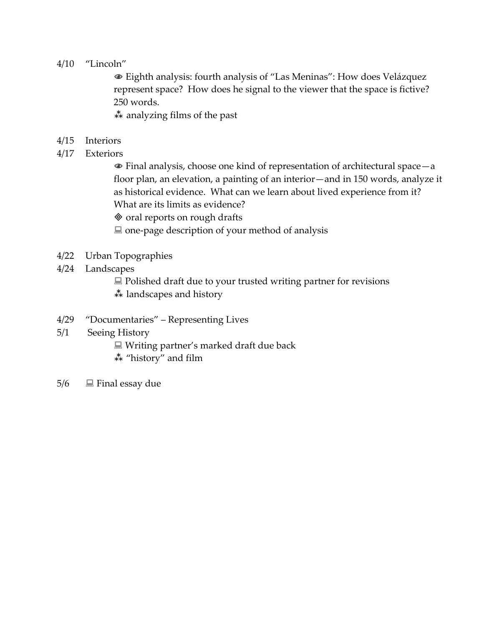#### 4/10 "Lincoln"

 Eighth analysis: fourth analysis of "Las Meninas": How does Velázquez represent space? How does he signal to the viewer that the space is fictive? 250 words.

 $\stackrel{*}{\ast}$  analyzing films of the past

- 4/15 Interiors
- 4/17 Exteriors

 Final analysis, choose one kind of representation of architectural space—a floor plan, an elevation, a painting of an interior—and in 150 words, analyze it as historical evidence. What can we learn about lived experience from it? What are its limits as evidence?

 $\otimes$  oral reports on rough drafts

■ one-page description of your method of analysis

- 4/22 Urban Topographies
- 4/24 Landscapes

 $\Box$  Polished draft due to your trusted writing partner for revisions

\*\* landscapes and history

- 4/29 "Documentaries" Representing Lives
- 5/1 Seeing History
	- Writing partner's marked draft due back
	- \*\* "history" and film
- $5/6$   $\Box$  Final essay due